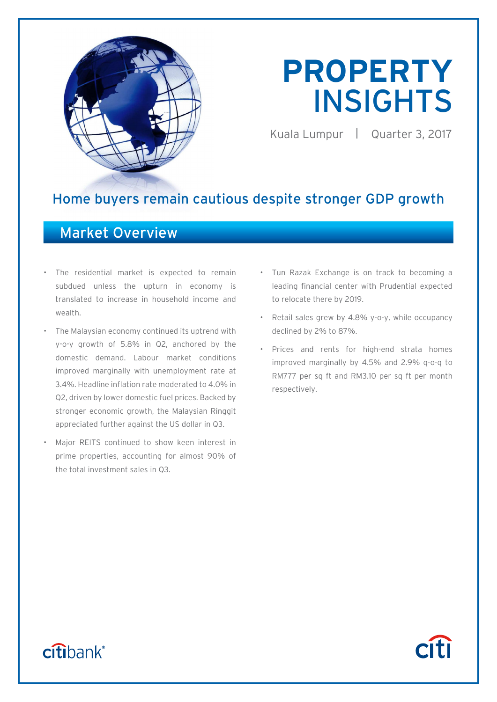

# **PROPERTY**  INSIGHTS

Kuala Lumpur | Quarter 3, 2017

**Citi** 

# Home buyers remain cautious despite stronger GDP growth

# Market Overview

- The residential market is expected to remain subdued unless the upturn in economy is translated to increase in household income and wealth.
- The Malaysian economy continued its uptrend with y-o-y growth of 5.8% in Q2, anchored by the domestic demand. Labour market conditions improved marginally with unemployment rate at 3.4%. Headline inflation rate moderated to 4.0% in Q2, driven by lower domestic fuel prices. Backed by stronger economic growth, the Malaysian Ringgit appreciated further against the US dollar in Q3.
- Major REITS continued to show keen interest in prime properties, accounting for almost 90% of the total investment sales in Q3.
- Tun Razak Exchange is on track to becoming a leading financial center with Prudential expected to relocate there by 2019.
- Retail sales grew by 4.8% y-o-y, while occupancy declined by 2% to 87%.
- Prices and rents for high-end strata homes improved marginally by 4.5% and 2.9% q-o-q to RM777 per sq ft and RM3.10 per sq ft per month respectively.

# citibank®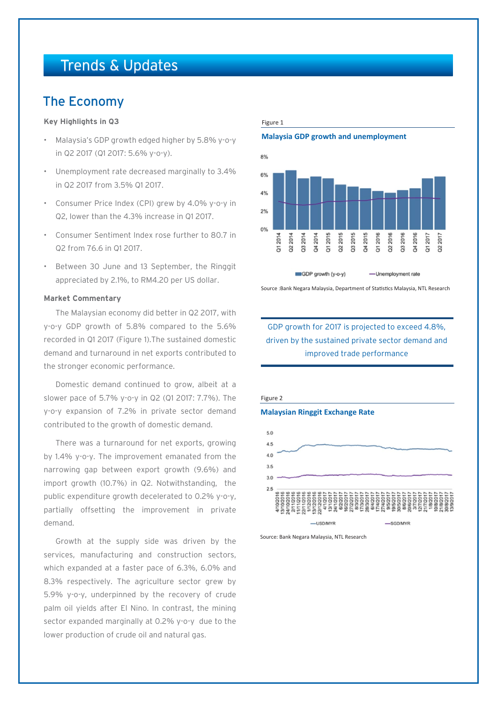# Trends & Updates

# The Economy

#### **Key Highlights in Q3**

- Malaysia's GDP growth edged higher by 5.8% y-o-y in Q2 2017 (Q1 2017: 5.6% y-o-y).
- Unemployment rate decreased marginally to 3.4% in Q2 2017 from 3.5% Q1 2017.
- Consumer Price Index (CPI) grew by 4.0% y-o-y in Q2, lower than the 4.3% increase in Q1 2017.
- Consumer Sentiment Index rose further to 80.7 in Q2 from 76.6 in Q1 2017.
- Between 30 June and 13 September, the Ringgit appreciated by 2.1%, to RM4.20 per US dollar.

#### **Market Commentary**

The Malaysian economy did better in Q2 2017, with y-o-y GDP growth of 5.8% compared to the 5.6% recorded in Q1 2017 (Figure 1).The sustained domestic demand and turnaround in net exports contributed to the stronger economic performance.

Domestic demand continued to grow, albeit at a slower pace of 5.7% y-o-y in Q2 (Q1 2017: 7.7%). The y-o-y expansion of 7.2% in private sector demand contributed to the growth of domestic demand.

There was a turnaround for net exports, growing by 1.4% y-o-y. The improvement emanated from the narrowing gap between export growth (9.6%) and import growth (10.7%) in Q2. Notwithstanding, the public expenditure growth decelerated to 0.2% y-o-y, partially offsetting the improvement in private demand.

Growth at the supply side was driven by the services, manufacturing and construction sectors, which expanded at a faster pace of 6.3%, 6.0% and 8.3% respectively. The agriculture sector grew by 5.9% y-o-y, underpinned by the recovery of crude palm oil yields after El Nino. In contrast, the mining sector expanded marginally at 0.2% y-o-y due to the lower production of crude oil and natural gas.

#### Figure 1

#### **Malaysia GDP growth and unemployment**



Source :Bank Negara Malaysia, Department of Statistics Malaysia, NTL Research

### GDP growth for 2017 is projected to exceed 4.8%, driven by the sustained private sector demand and improved trade performance



Source: Bank Negara Malaysia, NTL Research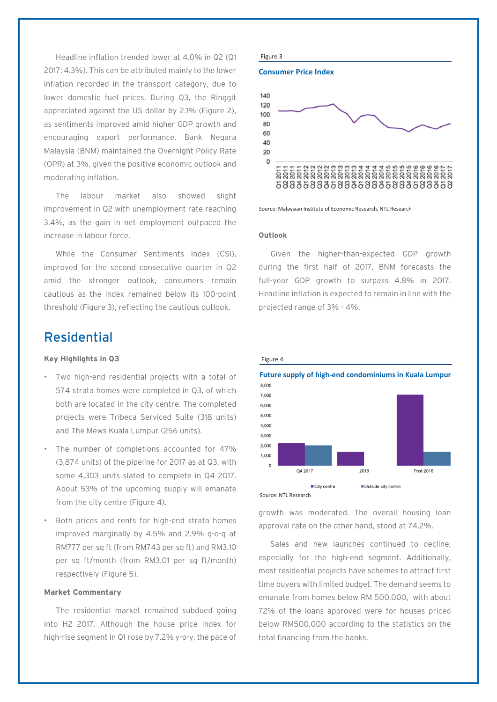Headline inflation trended lower at 4.0% in Q2 (Q1 2017: 4.3%). This can be attributed mainly to the lower inflation recorded in the transport category, due to lower domestic fuel prices. During Q3, the Ringgit appreciated against the US dollar by 2.1% (Figure 2), as sentiments improved amid higher GDP growth and encouraging export performance. Bank Negara Malaysia (BNM) maintained the Overnight Policy Rate (OPR) at 3%, given the positive economic outlook and moderating inflation.

The labour market also showed slight improvement in Q2 with unemployment rate reaching 3.4%, as the gain in net employment outpaced the increase in labour force.

While the Consumer Sentiments Index (CSI), improved for the second consecutive quarter in Q2 amid the stronger outlook, consumers remain cautious as the index remained below its 100-point threshold (Figure 3), reflecting the cautious outlook.

# Residential

#### **Key Highlights in Q3**

- Two high-end residential projects with a total of 574 strata homes were completed in Q3, of which both are located in the city centre. The completed projects were Tribeca Serviced Suite (318 units) and The Mews Kuala Lumpur (256 units).
- The number of completions accounted for 47% (3,874 units) of the pipeline for 2017 as at Q3, with some 4,303 units slated to complete in Q4 2017. About 53% of the upcoming supply will emanate from the city centre (Figure 4).
- Both prices and rents for high-end strata homes improved marginally by 4.5% and 2.9% q-o-q at RM777 per sq ft (from RM743 per sq ft) and RM3.10 per sq ft/month (from RM3.01 per sq ft/month) respectively (Figure 5).

#### **Market Commentary**

The residential market remained subdued going into H2 2017. Although the house price index for high-rise segment in Q1 rose by 7.2% y-o-y, the pace of

#### Figure 3

**Consumer Price Index**



Source: Malaysian Institute of Economic Research, NTL Research

#### **Outlook**

Figure 4

Given the higher-than-expected GDP growth during the first half of 2017, BNM forecasts the full-year GDP growth to surpass 4.8% in 2017. Headline inflation is expected to remain in line with the projected range of 3% - 4%.



growth was moderated. The overall housing loan approval rate on the other hand, stood at 74.2%.

Sales and new launches continued to decline, especially for the high-end segment. Additionally, most residential projects have schemes to attract first time buyers with limited budget. The demand seems to emanate from homes below RM 500,000, with about 72% of the loans approved were for houses priced below RM500,000 according to the statistics on the total financing from the banks.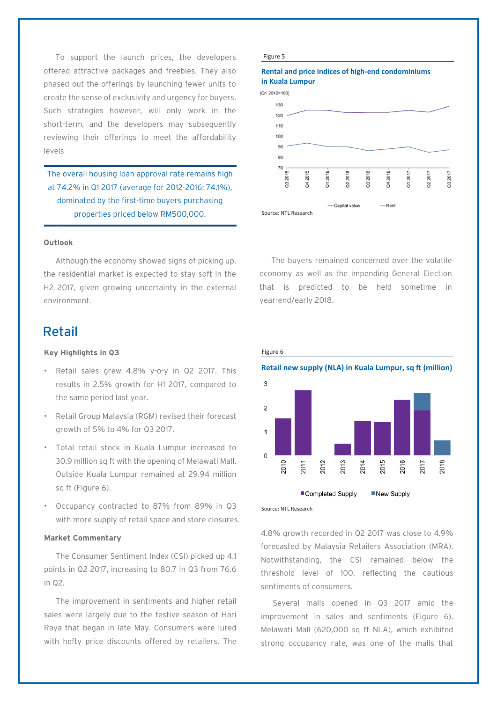To support the launch prices, the developers offered attractive packages and freebies. They also phased out the offerings by launching fewer units to create the sense of exclusivity and urgency for buyers. Such strategies however, will only work in the short-term, and the developers may subsequently reviewing their offerings to meet the affordability levels

The overall housing loan approval rate remains high at 74.2% in Q1 2017 (average for 2012-2016: 74.1%), dominated by the first-time buyers purchasing properties priced below RM500,000.

#### **Outlook**

.

Although the economy showed signs of picking up, the residential market is expected to stay soft in the H2 2017, given growing uncertainty in the external environment.

## Retail

#### **Key Highlights in Q3**

- Retail sales grew 4.8% y-o-y in Q2 2017. This results in 2.5% growth for H1 2017, compared to the same period last year.
- Retail Group Malaysia (RGM) revised their forecast growth of 5% to 4% for Q3 2017.
- Total retail stock in Kuala Lumpur increased to 30.9 million sq ft with the opening of Melawati Mall. Outside Kuala Lumpur remained at 29.94 million sq ft (Figure 6).
- Occupancy contracted to 87% from 89% in Q3 with more supply of retail space and store closures.

#### **Market Commentary**

The Consumer Sentiment Index (CSI) picked up 4.1 points in Q2 2017, increasing to 80.7 in Q3 from 76.6 in Q2.

The improvement in sentiments and higher retail sales were largely due to the festive season of Hari Raya that began in late May. Consumers were lured with hefty price discounts offered by retailers. The

#### Figure 5

#### **Rental and price indices of high-end condominiums in Kuala Lumpur**





The buyers remained concerned over the volatile economy as well as the impending General Election that is predicted to be held sometime in year-end/early 2018.



Source: NTL Research

4.8% growth recorded in Q2 2017 was close to 4.9% forecasted by Malaysia Retailers Association (MRA). Notwithstanding, the CSI remained below the threshold level of 100, reflecting the cautious sentiments of consumers.

Several malls opened in Q3 2017 amid the improvement in sales and sentiments (Figure 6). Melawati Mall (620,000 sq ft NLA), which exhibited strong occupancy rate, was one of the malls that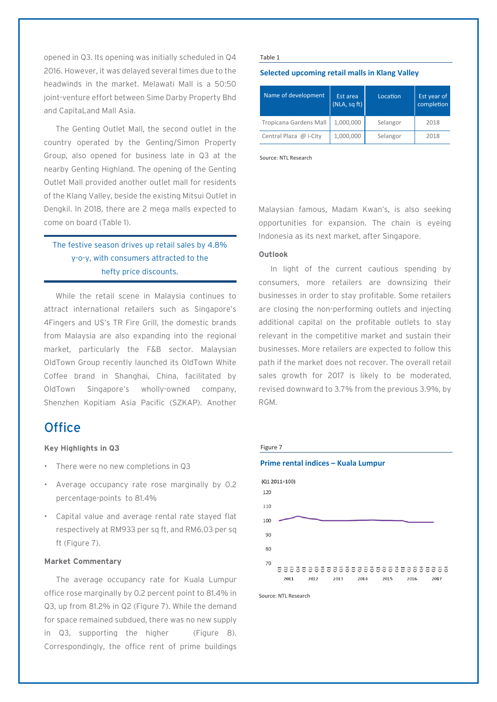opened in Q3. Its opening was initially scheduled in Q4 2016. However, it was delayed several times due to the headwinds in the market. Melawati Mall is a 50:50 joint-venture effort between Sime Darby Property Bhd and CapitaLand Mall Asia.

The Genting Outlet Mall, the second outlet in the country operated by the Genting/Simon Property Group, also opened for business late in Q3 at the nearby Genting Highland. The opening of the Genting Outlet Mall provided another outlet mall for residents of the Klang Valley, beside the existing Mitsui Outlet in Dengkil. In 2018, there are 2 mega malls expected to come on board (Table 1).

### The festive season drives up retail sales by 4.8% y-o-y, with consumers attracted to the hefty price discounts.

While the retail scene in Malaysia continues to attract international retailers such as Singapore's 4Fingers and US's TR Fire Grill, the domestic brands from Malaysia are also expanding into the regional market, particularly the F&B sector. Malaysian OldTown Group recently launched its OldTown White Coffee brand in Shanghai, China, facilitated by OldTown Singapore's wholly-owned company, Shenzhen Kopitiam Asia Pacific (SZKAP). Another

# **Office**

#### **Key Highlights in Q3**

- There were no new completions in Q3
- Average occupancy rate rose marginally by 0.2 percentage-points to 81.4%
- Capital value and average rental rate stayed flat respectively at RM933 per sq ft, and RM6.03 per sq ft (Figure 7).

#### **Market Commentary**

The average occupancy rate for Kuala Lumpur office rose marginally by 0.2 percent point to 81.4% in Q3, up from 81.2% in Q2 (Figure 7). While the demand for space remained subdued, there was no new supply in Q3, supporting the higher (Figure 8). Correspondingly, the office rent of prime buildings

#### Table 1

#### **Selected upcoming retail malls in Klang Valley**

| Name of development    | Est area<br>(NLA, sqft) | Location | Est year of<br>completion |
|------------------------|-------------------------|----------|---------------------------|
| Tropicana Gardens Mall | 1,000,000               | Selangor | 2018                      |
| Central Plaza @ i-City | 1,000,000               | Selangor | 2018                      |

Source: NTL Research

Malaysian famous, Madam Kwan's, is also seeking opportunities for expansion. The chain is eyeing Indonesia as its next market, after Singapore.

#### **Outlook**

In light of the current cautious spending by consumers, more retailers are downsizing their businesses in order to stay profitable. Some retailers are closing the non-performing outlets and injecting additional capital on the profitable outlets to stay relevant in the competitive market and sustain their businesses. More retailers are expected to follow this path if the market does not recover. The overall retail sales growth for 2017 is likely to be moderated, revised downward to 3.7% from the previous 3.9%, by RGM.

#### Figure 7



Source: NTL Research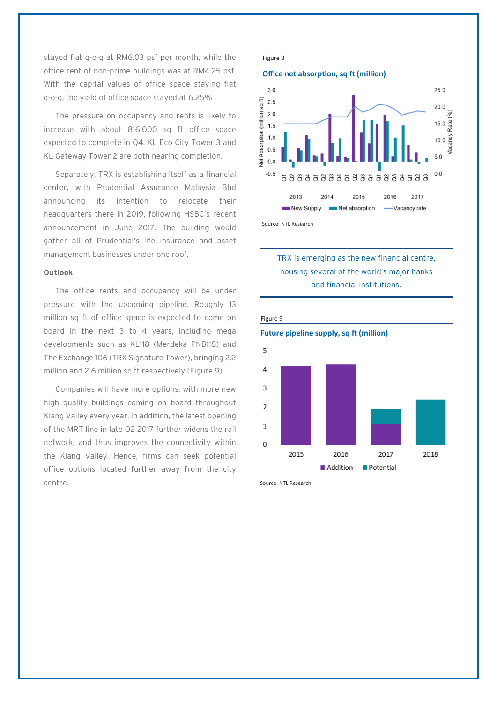stayed flat q-o-q at RM6.03 psf per month, while the office rent of non-prime buildings was at RM4.25 psf. With the capital values of office space staying flat q-o-q, the yield of office space stayed at 6.25%

The pressure on occupancy and rents is likely to increase with about 816,000 sq ft office space expected to complete in Q4. KL Eco City Tower 3 and KL Gateway Tower 2 are both nearing completion.

Separately, TRX is establishing itself as a financial center, with Prudential Assurance Malaysia Bhd announcing its intention to relocate their headquarters there in 2019, following HSBC's recent announcement in June 2017. The building would gather all of Prudential's life insurance and asset management businesses under one roof.

#### **Outlook**

The office rents and occupancy will be under pressure with the upcoming pipeline. Roughly 13 million sq ft of office space is expected to come on board in the next 3 to 4 years, including mega developments such as KL118 (Merdeka PNB118) and The Exchange 106 (TRX Signature Tower), bringing 2.2 million and 2.6 million sq ft respectively (Figure 9).

Companies will have more options, with more new high quality buildings coming on board throughout Klang Valley every year. In addition, the latest opening of the MRT line in late Q2 2017 further widens the rail network, and thus improves the connectivity within the Klang Valley. Hence, firms can seek potential office options located further away from the city centre.







### TRX is emerging as the new financial centre, housing several of the world's major banks and financial institutions.



Source: NTL Research